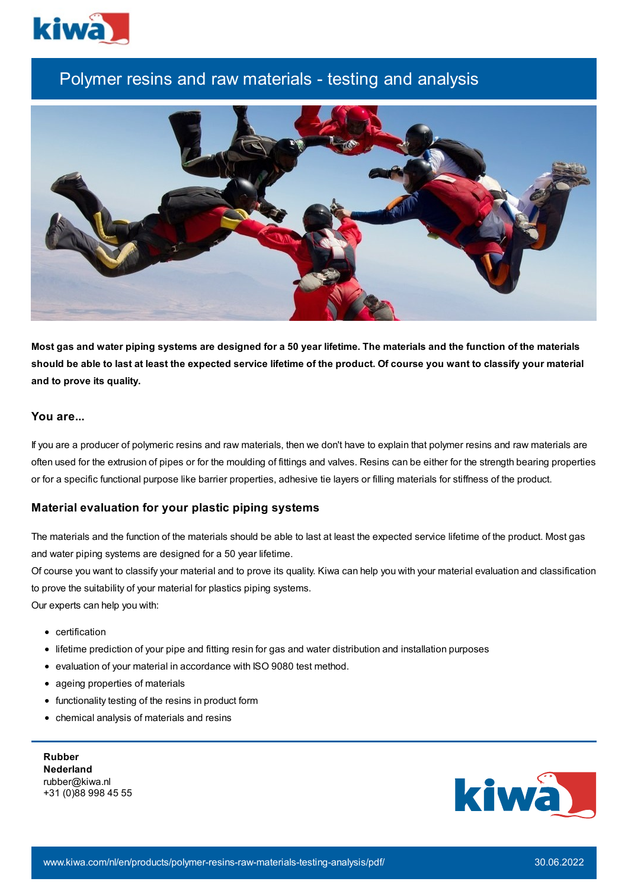

# Polymer resins and raw materials - testing and analysis



Most gas and water piping systems are designed for a 50 year lifetime. The materials and the function of the materials should be able to last at least the expected service lifetime of the product. Of course you want to classify your material **and to prove its quality.**

## **You are...**

If you are a producer of polymeric resins and raw materials, then we don't have to explain that polymer resins and raw materials are often used for the extrusion of pipes or for the moulding of fittings and valves. Resins can be either for the strength bearing properties or for a specific functional purpose like barrier properties, adhesive tie layers or filling materials for stiffness of the product.

## **Material evaluation for your plastic piping systems**

The materials and the function of the materials should be able to last at least the expected service lifetime of the product. Most gas and water piping systems are designed for a 50 year lifetime.

Of course you want to classify your material and to prove its quality. Kiwa can help you with your material evaluation and classification to prove the suitability of your material for plastics piping systems.

Our experts can help you with:

- certification
- lifetime prediction of your pipe and fitting resin for gas and water distribution and installation purposes
- evaluation of your material in accordance with ISO 9080 test method.
- ageing properties of materials
- functionality testing of the resins in product form
- chemical analysis of materials and resins

**Rubber Nederland** rubber@kiwa.nl +31 (0)88 998 45 55